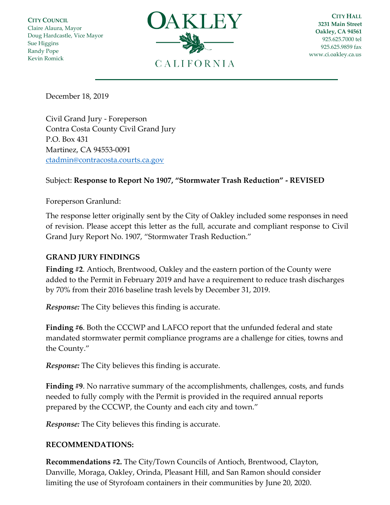**CITY COUNCIL** Claire Alaura, Mayor Doug Hardcastle, Vice Mayor Sue Higgins Randy Pope Kevin Romick



**CITY HALL 3231 Main Street Oakley, CA 94561** 925.625.7000 tel 925.625.9859 fax [www.ci.oakley.ca.us](http://www.ci.oakley.ca.us/)

December 18, 2019

Civil Grand Jury - Foreperson Contra Costa County Civil Grand Jury P.O. Box 431 Martinez, CA 94553-0091 [ctadmin@contracosta.courts.ca.gov](mailto:ctadmin@contracosta.courts.ca.gov)

## Subject: **Response to Report No 1907, "Stormwater Trash Reduction" - REVISED**

## Foreperson Granlund:

The response letter originally sent by the City of Oakley included some responses in need of revision. Please accept this letter as the full, accurate and compliant response to Civil Grand Jury Report No. 1907, "Stormwater Trash Reduction."

## **GRAND JURY FINDINGS**

**Finding #2**. Antioch, Brentwood, Oakley and the eastern portion of the County were added to the Permit in February 2019 and have a requirement to reduce trash discharges by 70% from their 2016 baseline trash levels by December 31, 2019.

*Response:* The City believes this finding is accurate.

**Finding #6**. Both the CCCWP and LAFCO report that the unfunded federal and state mandated stormwater permit compliance programs are a challenge for cities, towns and the County."

*Response:* The City believes this finding is accurate.

**Finding #9**. No narrative summary of the accomplishments, challenges, costs, and funds needed to fully comply with the Permit is provided in the required annual reports prepared by the CCCWP, the County and each city and town."

*Response:* The City believes this finding is accurate.

## **RECOMMENDATIONS:**

**Recommendations #2.** The City/Town Councils of Antioch, Brentwood, Clayton, Danville, Moraga, Oakley, Orinda, Pleasant Hill, and San Ramon should consider limiting the use of Styrofoam containers in their communities by June 20, 2020.